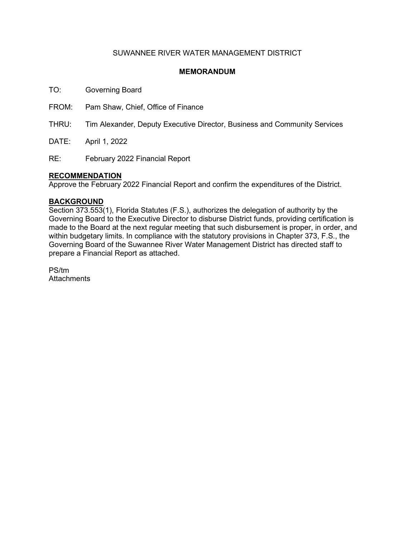## SUWANNEE RIVER WATER MANAGEMENT DISTRICT

## **MEMORANDUM**

TO: Governing Board

FROM: Pam Shaw, Chief, Office of Finance

THRU: Tim Alexander, Deputy Executive Director, Business and Community Services

DATE: April 1, 2022

RE: February 2022 Financial Report

### **RECOMMENDATION**

Approve the February 2022 Financial Report and confirm the expenditures of the District.

### **BACKGROUND**

Section 373.553(1), Florida Statutes (F.S.), authorizes the delegation of authority by the Governing Board to the Executive Director to disburse District funds, providing certification is made to the Board at the next regular meeting that such disbursement is proper, in order, and within budgetary limits. In compliance with the statutory provisions in Chapter 373, F.S., the Governing Board of the Suwannee River Water Management District has directed staff to prepare a Financial Report as attached.

PS/tm **Attachments**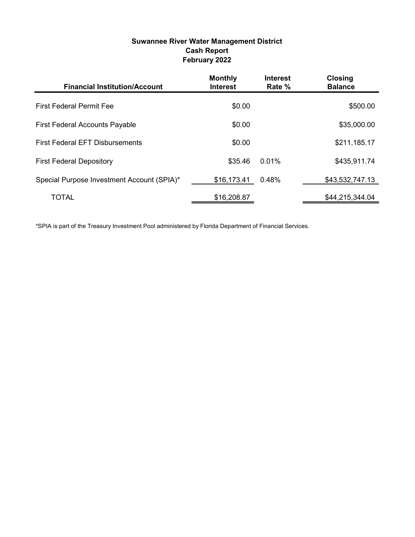# Suwannee River Water Management District Cash Report February 2022

| <b>Financial Institution/Account</b>       | <b>Monthly</b><br><b>Interest</b> | <b>Interest</b><br>Rate % | <b>Closing</b><br><b>Balance</b> |
|--------------------------------------------|-----------------------------------|---------------------------|----------------------------------|
| <b>First Federal Permit Fee</b>            | \$0.00                            |                           | \$500.00                         |
| <b>First Federal Accounts Payable</b>      | \$0.00                            |                           | \$35,000.00                      |
| <b>First Federal EFT Disbursements</b>     | \$0.00                            |                           | \$211,185.17                     |
| <b>First Federal Depository</b>            | \$35.46                           | $0.01\%$                  | \$435,911.74                     |
| Special Purpose Investment Account (SPIA)* | \$16,173.41                       | 0.48%                     | \$43,532,747.13                  |
| <b>TOTAL</b>                               | \$16,208.87                       |                           | \$44,215,344.04                  |

\*SPIA is part of the Treasury Investment Pool administered by Florida Department of Financial Services.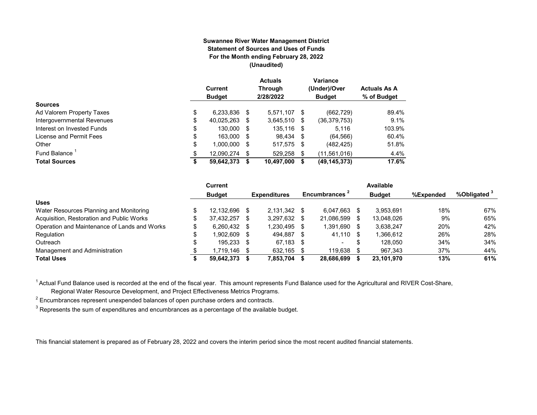#### **Suwannee River Water Management District Statement of Sources and Uses of Funds For the Month ending February 28, 2022 (Unaudited)**

|                            | Current<br><b>Budget</b> |      | <b>Actuals</b><br><b>Through</b><br>2/28/2022 |      | Variance<br>(Under)/Over<br><b>Budget</b> | <b>Actuals As A</b><br>% of Budget |
|----------------------------|--------------------------|------|-----------------------------------------------|------|-------------------------------------------|------------------------------------|
| <b>Sources</b>             |                          |      |                                               |      |                                           |                                    |
| Ad Valorem Property Taxes  | \$<br>6,233,836          | - \$ | 5.571.107 \$                                  |      | (662, 729)                                | 89.4%                              |
| Intergovernmental Revenues | \$<br>40,025,263         | S    | 3,645,510                                     | S    | (36,379,753)                              | 9.1%                               |
| Interest on Invested Funds | \$<br>130.000            | - \$ | 135.116 \$                                    |      | 5.116                                     | 103.9%                             |
| License and Permit Fees    | \$<br>163,000            | - \$ | 98.434 \$                                     |      | (64, 566)                                 | 60.4%                              |
| Other                      | \$<br>1,000,000          | S    | 517,575                                       | - \$ | (482, 425)                                | 51.8%                              |
| Fund Balance               | \$<br>12.090.274         | S    | 529.258                                       | \$   | (11,561,016)                              | 4.4%                               |
| <b>Total Sources</b>       | \$<br>59,642,373         |      | 10,497,000                                    | S    | (49, 145, 373)                            | 17.6%                              |

|                                              |    | Current        |      |                     |      |                           |      | Available     |           |                         |
|----------------------------------------------|----|----------------|------|---------------------|------|---------------------------|------|---------------|-----------|-------------------------|
|                                              |    | <b>Budget</b>  |      | <b>Expenditures</b> |      | Encumbrances <sup>2</sup> |      | <b>Budget</b> | %Expended | %Obligated <sup>3</sup> |
| <b>Uses</b>                                  |    |                |      |                     |      |                           |      |               |           |                         |
| Water Resources Planning and Monitoring      |    | 12.132.696     | - \$ | $2.131.342$ \$      |      | 6.047.663                 |      | 3.953.691     | 18%       | 67%                     |
| Acquisition, Restoration and Public Works    | \$ | 37,432,257     | - \$ | 3,297,632           | S    | 21,086,599                |      | 13,048,026    | 9%        | 65%                     |
| Operation and Maintenance of Lands and Works |    | $6.260.432$ \$ |      | 1.230.495           | - \$ | 1,391,690                 | - \$ | 3.638.247     | 20%       | 42%                     |
| Regulation                                   | ¢  | 902.609.       | - \$ | 494.887             | -S   | 41.110 \$                 |      | 1,366,612     | 26%       | 28%                     |
| Outreach                                     |    | 195,233 \$     |      | 67.183              | - \$ | $\overline{\phantom{0}}$  | S    | 128.050       | 34%       | 34%                     |
| Management and Administration                |    | .719,146       | - \$ | 632,165             |      | 119.638                   |      | 967,343       | 37%       | 44%                     |
| <b>Total Uses</b>                            |    | 59,642,373     |      | 7,853,704           |      | 28,686,699                |      | 23,101,970    | 13%       | 61%                     |

<sup>1</sup> Actual Fund Balance used is recorded at the end of the fiscal year. This amount represents Fund Balance used for the Agricultural and RIVER Cost-Share,

Regional Water Resource Development, and Project Effectiveness Metrics Programs.

 $^{\text{2}}$  Encumbrances represent unexpended balances of open purchase orders and contracts.

 $^3$  Represents the sum of expenditures and encumbrances as a percentage of the available budget.

This financial statement is prepared as of February 28, 2022 and covers the interim period since the most recent audited financial statements.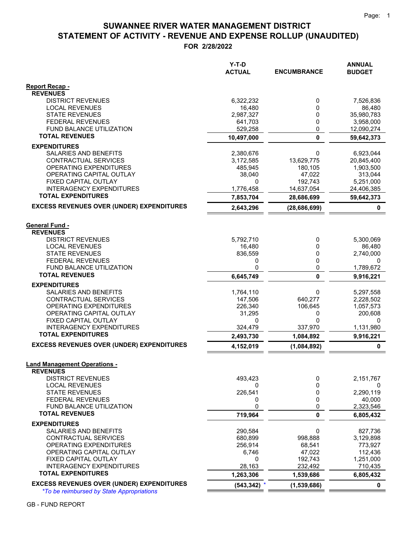# **STATEMENT OF ACTIVITY - REVENUE AND EXPENSE ROLLUP (UNAUDITED) SUWANNEE RIVER WATER MANAGEMENT DISTRICT**

**FOR 2/28/2022**

|                                                              | Y-T-D<br><b>ACTUAL</b> | <b>ENCUMBRANCE</b>   | <b>ANNUAL</b><br><b>BUDGET</b> |
|--------------------------------------------------------------|------------------------|----------------------|--------------------------------|
| Report Recap -                                               |                        |                      |                                |
| <b>REVENUES</b>                                              |                        |                      |                                |
| <b>DISTRICT REVENUES</b>                                     | 6,322,232              | 0                    | 7,526,836                      |
| <b>LOCAL REVENUES</b><br><b>STATE REVENUES</b>               | 16,480<br>2,987,327    | 0<br>0               | 86,480<br>35,980,783           |
| <b>FEDERAL REVENUES</b>                                      | 641,703                | 0                    | 3,958,000                      |
| <b>FUND BALANCE UTILIZATION</b>                              | 529,258                | 0                    | 12,090,274                     |
| <b>TOTAL REVENUES</b>                                        | 10,497,000             | $\mathbf{0}$         | 59,642,373                     |
| <b>EXPENDITURES</b>                                          |                        |                      |                                |
| <b>SALARIES AND BENEFITS</b>                                 | 2,380,676              | 0                    | 6,923,044                      |
| CONTRACTUAL SERVICES                                         | 3,172,585              | 13,629,775           | 20,845,400                     |
| OPERATING EXPENDITURES                                       | 485,945                | 180,105              | 1,903,500                      |
| OPERATING CAPITAL OUTLAY                                     | 38,040                 | 47,022               | 313,044                        |
| FIXED CAPITAL OUTLAY                                         | 0                      | 192,743              | 5,251,000                      |
| <b>INTERAGENCY EXPENDITURES</b>                              | 1,776,458              | 14,637,054           | 24,406,385                     |
| <b>TOTAL EXPENDITURES</b>                                    | 7,853,704              | 28,686,699           | 59,642,373                     |
| <b>EXCESS REVENUES OVER (UNDER) EXPENDITURES</b>             | 2,643,296              | (28, 686, 699)       | 0                              |
| <b>General Fund -</b>                                        |                        |                      |                                |
| <b>REVENUES</b>                                              |                        |                      |                                |
| <b>DISTRICT REVENUES</b>                                     | 5,792,710              | 0                    | 5,300,069                      |
| <b>LOCAL REVENUES</b>                                        | 16,480                 | 0                    | 86,480                         |
| <b>STATE REVENUES</b>                                        | 836,559                | 0                    | 2,740,000                      |
| <b>FEDERAL REVENUES</b>                                      | 0                      | 0                    | 0                              |
| <b>FUND BALANCE UTILIZATION</b>                              | 0                      | 0                    | 1,789,672                      |
| <b>TOTAL REVENUES</b>                                        | 6,645,749              | $\mathbf{0}$         | 9,916,221                      |
| <b>EXPENDITURES</b>                                          |                        |                      |                                |
| SALARIES AND BENEFITS                                        | 1,764,110              | 0                    | 5,297,558                      |
| CONTRACTUAL SERVICES                                         | 147,506                | 640,277              | 2,228,502                      |
| OPERATING EXPENDITURES                                       | 226,340                | 106,645              | 1,057,573                      |
| OPERATING CAPITAL OUTLAY<br>FIXED CAPITAL OUTLAY             | 31,295<br>0            | 0<br>$\mathbf{0}$    | 200,608<br>0                   |
| <b>INTERAGENCY EXPENDITURES</b>                              | 324,479                | 337,970              | 1,131,980                      |
| <b>TOTAL EXPENDITURES</b>                                    | 2,493,730              | 1,084,892            | 9,916,221                      |
| <b>EXCESS REVENUES OVER (UNDER) EXPENDITURES</b>             | 4,152,019              | (1,084,892)          | $\pmb{0}$                      |
|                                                              |                        |                      |                                |
| <b>Land Management Operations -</b><br><b>REVENUES</b>       |                        |                      |                                |
| <b>DISTRICT REVENUES</b>                                     | 493,423                | 0                    | 2,151,767                      |
| <b>LOCAL REVENUES</b>                                        | 0                      | 0                    | 0                              |
| <b>STATE REVENUES</b>                                        | 226,541                | 0                    | 2,290,119                      |
| <b>FEDERAL REVENUES</b>                                      | 0                      | 0                    | 40,000                         |
| FUND BALANCE UTILIZATION                                     | 0                      | 0                    | 2,323,546                      |
| <b>TOTAL REVENUES</b>                                        | 719,964                | 0                    | 6,805,432                      |
| <b>EXPENDITURES</b>                                          |                        |                      |                                |
| SALARIES AND BENEFITS                                        | 290,584                | 0                    | 827,736                        |
| <b>CONTRACTUAL SERVICES</b>                                  | 680,899                | 998,888              | 3,129,898                      |
| OPERATING EXPENDITURES                                       | 256,914                | 68,541               | 773,927                        |
| OPERATING CAPITAL OUTLAY                                     | 6,746                  | 47,022               | 112,436                        |
| FIXED CAPITAL OUTLAY                                         | 0                      | 192,743              | 1,251,000                      |
| <b>INTERAGENCY EXPENDITURES</b><br><b>TOTAL EXPENDITURES</b> | 28,163<br>1,263,306    | 232,492<br>1,539,686 | 710,435<br>6,805,432           |
| <b>EXCESS REVENUES OVER (UNDER) EXPENDITURES</b>             | (543, 342)             | (1,539,686)          | $\mathbf 0$                    |
| <i>*To be reimbursed by State Appropriations</i>             |                        |                      |                                |

GB - FUND REPORT